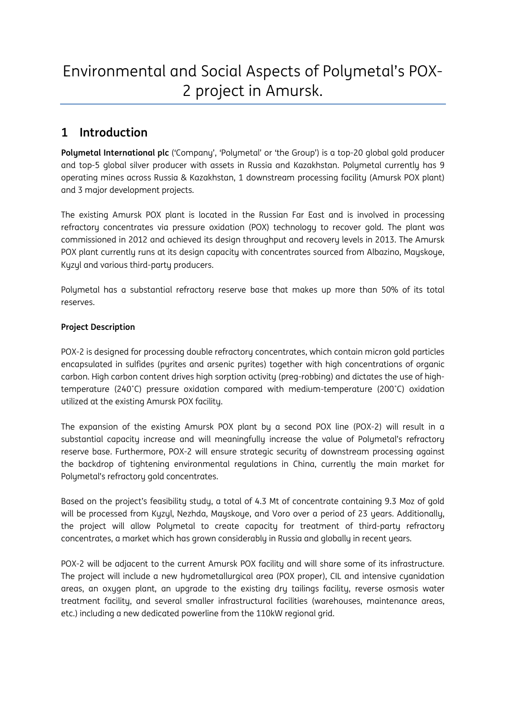# Environmental and Social Aspects of Polymetal's POX-2 project in Amursk.

# **1 Introduction**

**Polymetal International plc** ('Company', 'Polymetal' or 'the Group') is a top-20 global gold producer and top-5 global silver producer with assets in Russia and Kazakhstan. Polymetal currently has 9 operating mines across Russia & Kazakhstan, 1 downstream processing facility (Amursk POX plant) and 3 major development projects.

The existing Amursk POX plant is located in the Russian Far East and is involved in processing refractory concentrates via pressure oxidation (POX) technology to recover gold. The plant was commissioned in 2012 and achieved its design throughput and recovery levels in 2013. The Amursk POX plant currently runs at its design capacity with concentrates sourced from Albazino, Mayskoye, Kyzyl and various third-party producers.

Polymetal has a substantial refractory reserve base that makes up more than 50% of its total reserves.

# **Project Description**

POX-2 is designed for processing double refractory concentrates, which contain micron gold particles encapsulated in sulfides (pyrites and arsenic pyrites) together with high concentrations of organic carbon. High carbon content drives high sorption activity (preg-robbing) and dictates the use of hightemperature (240˚С) pressure oxidation compared with medium-temperature (200˚С) oxidation utilized at the existing Amursk POX facility.

The expansion of the existing Amursk POX plant by a second POX line (POX-2) will result in a substantial capacity increase and will meaningfully increase the value of Polymetal's refractory reserve base. Furthermore, POX-2 will ensure strategic security of downstream processing against the backdrop of tightening environmental regulations in China, currently the main market for Polymetal's refractory gold concentrates.

Based on the project's feasibility study, a total of 4.3 Mt of concentrate containing 9.3 Moz of gold will be processed from Kyzyl, Nezhda, Mayskoye, and Voro over a period of 23 years. Additionally, the project will allow Polymetal to create capacity for treatment of third-party refractory concentrates, a market which has grown considerably in Russia and globally in recent years.

POX-2 will be adjacent to the current Amursk POX facility and will share some of its infrastructure. The project will include a new hydrometallurgical area (POX proper), CIL and intensive cyanidation areas, an oxygen plant, an upgrade to the existing dry tailings facility, reverse osmosis water treatment facility, and several smaller infrastructural facilities (warehouses, maintenance areas, etc.) including a new dedicated powerline from the 110kW regional grid.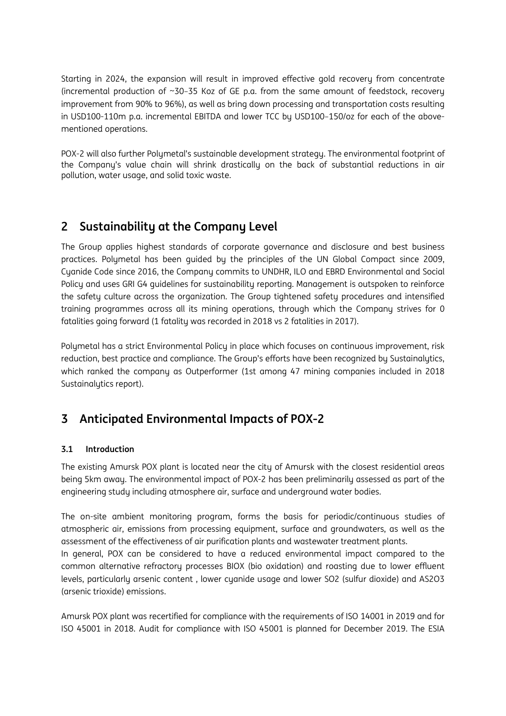Starting in 2024, the expansion will result in improved effective gold recovery from concentrate (incremental production of ~30–35 Koz of GE p.a. from the same amount of feedstock, recovery improvement from 90% to 96%), as well as bring down processing and transportation costs resulting in USD100-110m p.a. incremental EBITDA and lower TCC by USD100–150/oz for each of the abovementioned operations.

POX-2 will also further Polymetal's sustainable development strategy. The environmental footprint of the Company's value chain will shrink drastically on the back of substantial reductions in air pollution, water usage, and solid toxic waste.

# **2 Sustainability at the Company Level**

The Group applies highest standards of corporate governance and disclosure and best business practices. Polymetal has been guided by the principles of the UN Global Compact since 2009, Cyanide Code since 2016, the Company commits to UNDHR, ILO and EBRD Environmental and Social Policy and uses GRI G4 guidelines for sustainability reporting. Management is outspoken to reinforce the safety culture across the organization. The Group tightened safety procedures and intensified training programmes across all its mining operations, through which the Company strives for 0 fatalities going forward (1 fatality was recorded in 2018 vs 2 fatalities in 2017).

Polymetal has a strict Environmental Policy in place which focuses on continuous improvement, risk reduction, best practice and compliance. The Group's efforts have been recognized by Sustainalytics, which ranked the company as Outperformer (1st among 47 mining companies included in 2018 Sustainalytics report).

# **3 Anticipated Environmental Impacts of POX-2**

# **3.1 Introduction**

The existing Amursk POX plant is located near the city of Amursk with the closest residential areas being 5km away. The environmental impact of POX-2 has been preliminarily assessed as part of the engineering study including atmosphere air, surface and underground water bodies.

The on-site ambient monitoring program, forms the basis for periodic/continuous studies of atmospheric air, emissions from processing equipment, surface and groundwaters, as well as the assessment of the effectiveness of air purification plants and wastewater treatment plants. In general, POX can be considered to have a reduced environmental impact compared to the common alternative refractory processes BIOX (bio oxidation) and roasting due to lower effluent levels, particularly arsenic content , lower cyanide usage and lower SO2 (sulfur dioxide) and AS2O3 (arsenic trioxide) emissions.

Amursk POX plant was recertified for compliance with the requirements of ISO 14001 in 2019 and for ISO 45001 in 2018. Audit for compliance with ISO 45001 is planned for December 2019. The ESIA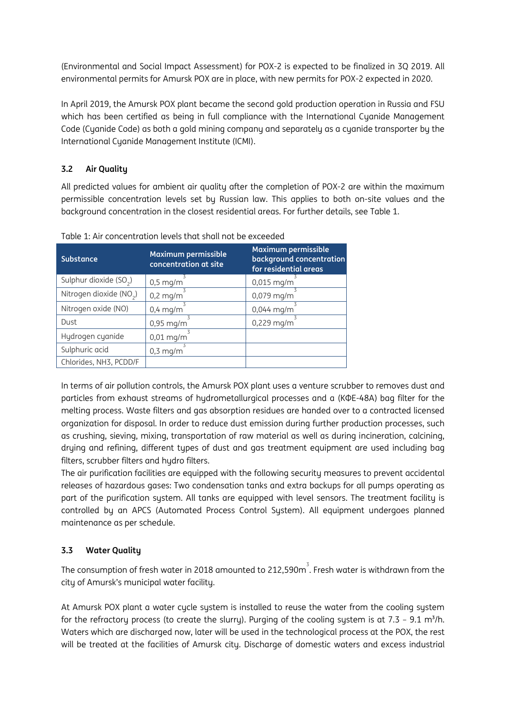(Environmental and Social Impact Assessment) for POX-2 is expected to be finalized in 3Q 2019. All environmental permits for Amursk POX are in place, with new permits for POX-2 expected in 2020.

In April 2019, the Amursk POX plant became the second gold production operation in Russia and FSU which has been certified as being in full compliance with the International Cyanide Management Code (Cyanide Code) as both a gold mining company and separately as a cyanide transporter by the International Cyanide Management Institute (ICMI).

# **3.2 Air Quality**

All predicted values for ambient air quality after the completion of POX-2 are within the maximum permissible concentration levels set by Russian law. This applies to both on-site values and the background concentration in the closest residential areas. For further details, see Table 1.

| <b>Substance</b>                    | Maximum permissible<br>concentration at site | <b>Maximum permissible</b><br>background concentration<br>for residential areas |
|-------------------------------------|----------------------------------------------|---------------------------------------------------------------------------------|
| Sulphur dioxide (SO <sub>2</sub> )  | $0,5$ mg/m                                   | $0,015$ mg/m                                                                    |
| Nitrogen dioxide (NO <sub>2</sub> ) | $0,2$ mg/m                                   | 0,079 mg/m                                                                      |
| Nitrogen oxide (NO)                 | $0,4$ mg/m                                   | $0,044$ mg/m                                                                    |
| Dust                                | $0,95$ mg/m                                  | $0,229$ mg/m                                                                    |
| Hydrogen cyanide                    | $0,01$ mg/m                                  |                                                                                 |
| Sulphuric acid                      | $0,3 \text{ mg/m}$                           |                                                                                 |
| Chlorides, NH3, PCDD/F              |                                              |                                                                                 |

Table 1: Air concentration levels that shall not be exceeded

In terms of air pollution controls, the Amursk POX plant uses a venture scrubber to removes dust and particles from exhaust streams of hydrometallurgical processes and a (КФЕ-48А) bag filter for the melting process. Waste filters and gas absorption residues are handed over to a contracted licensed organization for disposal. In order to reduce dust emission during further production processes, such as crushing, sieving, mixing, transportation of raw material as well as during incineration, calcining, drying and refining, different types of dust and gas treatment equipment are used including bag filters, scrubber filters and hydro filters.

The air purification facilities are equipped with the following security measures to prevent accidental releases of hazardous gases: Two condensation tanks and extra backups for all pumps operating as part of the purification system. All tanks are equipped with level sensors. The treatment facility is controlled by an APCS (Automated Process Control System). All equipment undergoes planned maintenance as per schedule.

# **3.3 Water Quality**

The consumption of fresh water in 2018 amounted to 212,590 $\mathrm{m}^{3}$ . Fresh water is withdrawn from the city of Amursk's municipal water facility.

At Amursk POX plant a water cycle system is installed to reuse the water from the cooling system for the refractory process (to create the slurry). Purging of the cooling system is at 7.3 – 9.1 m<sup>3</sup>/h. Waters which are discharged now, later will be used in the technological process at the POX, the rest will be treated at the facilities of Amursk city. Discharge of domestic waters and excess industrial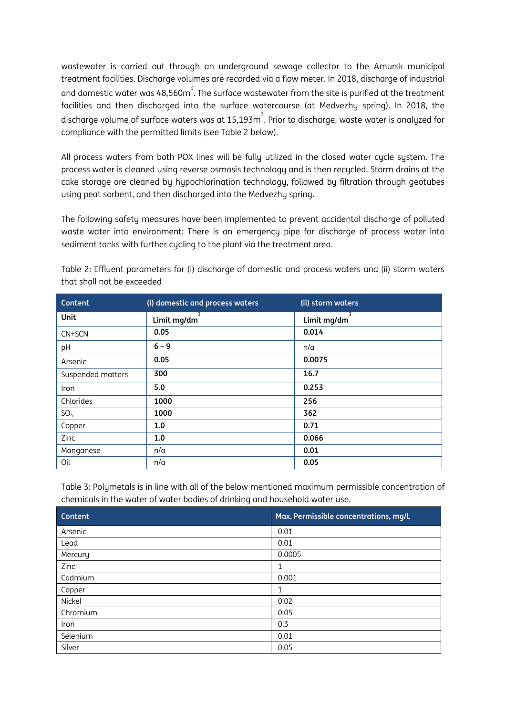wastewater is carried out through an underground sewage collector to the Amursk municipal treatment facilities. Discharge volumes are recorded via a flow meter. In 2018, discharge of industrial and domestic water was 48,560 $\mathrm{m}^3$ . The surface wastewater from the site is purified at the treatment facilities and then discharged into the surface watercourse (at Medvezhy spring). In 2018, the discharge volume of surface waters was at 15,193 $\mathrm{m}^{3}$ . Prior to discharge, waste water is analyzed for compliance with the permitted limits (see Table 2 below).

All process waters from both POX lines will be fully utilized in the closed water cycle system. The process water is cleaned using reverse osmosis technology and is then recycled. Storm drains at the cake storage are cleaned by hypochlorination technology, followed by filtration through geotubes using peat sorbent, and then discharged into the Medvezhy spring.

The following safety measures have been implemented to prevent accidental discharge of polluted waste water into environment: There is an emergency pipe for discharge of process water into sediment tanks with further cycling to the plant via the treatment area.

| Content           | (i) domestic and process waters | (ii) storm waters |
|-------------------|---------------------------------|-------------------|
| <b>Unit</b>       | Limit mg/dm                     | Limit mg/dm       |
| CN+SCN            | 0.05                            | 0.014             |
| pH                | $6 - 9$                         | n/a               |
| Arsenic           | 0.05                            | 0.0075            |
| Suspended matters | 300                             | 16.7              |
| Iron              | 5.0                             | 0.253             |
| Chlorides         | 1000                            | 256               |
| SO <sub>4</sub>   | 1000                            | 362               |
| Copper            | 1.0                             | 0.71              |
| Zinc              | 1.0                             | 0.066             |
| Manganese         | n/a                             | 0.01              |
| Oil               | n/a                             | 0.05              |

Table 2: Effluent parameters for (i) discharge of domestic and process waters and (ii) storm waters that shall not be exceeded

Table 3: Polymetals is in line with all of the below mentioned maximum permissible concentration of chemicals in the water of water bodies of drinking and household water use.

| Content  | Max. Permissible concentrations, mg/L |
|----------|---------------------------------------|
| Arsenic  | 0.01                                  |
| Lead     | 0.01                                  |
| Mercury  | 0.0005                                |
| Zinc     | 1                                     |
| Cadmium  | 0.001                                 |
| Copper   | 1                                     |
| Nickel   | 0.02                                  |
| Chromium | 0.05                                  |
| Iron     | 0.3                                   |
| Selenium | 0.01                                  |
| Silver   | 0,05                                  |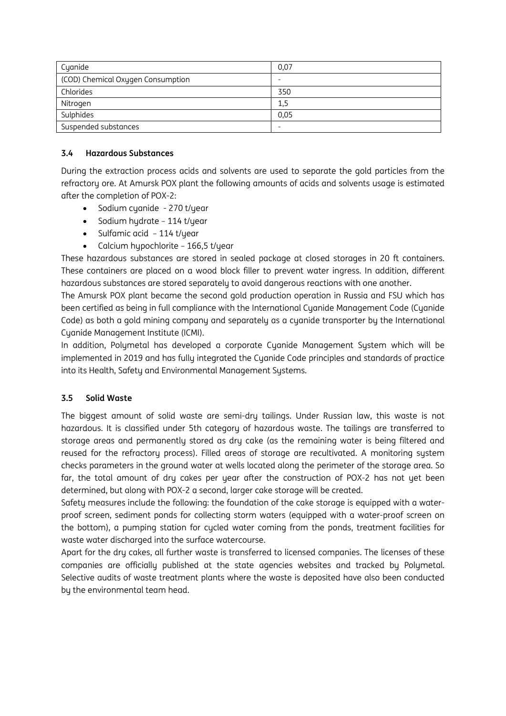| Cyanide                           | 0,07 |
|-----------------------------------|------|
| (COD) Chemical Oxygen Consumption |      |
| Chlorides                         | 350  |
| Nitrogen                          | 1,5  |
| Sulphides                         | 0.05 |
| Suspended substances              |      |

#### **3.4 Hazardous Substances**

During the extraction process acids and solvents are used to separate the gold particles from the refractory ore. At Amursk POX plant the following amounts of acids and solvents usage is estimated after the completion of POX-2:

- Sodium cyanide 270 t/year
- Sodium hydrate 114 t/year
- Sulfamic acid 114 t/year
- Calcium hypochlorite 166,5 t/year

These hazardous substances are stored in sealed package at closed storages in 20 ft containers. These containers are placed on a wood block filler to prevent water ingress. In addition, different hazardous substances are stored separately to avoid dangerous reactions with one another.

The Amursk POX plant became the second gold production operation in Russia and FSU which has been certified as being in full compliance with the International Cyanide Management Code (Cyanide Code) as both a gold mining company and separately as a cyanide transporter by the International Cyanide Management Institute (ICMI).

In addition, Polymetal has developed a corporate Cyanide Management System which will be implemented in 2019 and has fully integrated the Cyanide Code principles and standards of practice into its Health, Safety and Environmental Management Systems.

#### **3.5 Solid Waste**

The biggest amount of solid waste are semi-dry tailings. Under Russian law, this waste is not hazardous. It is classified under 5th category of hazardous waste. The tailings are transferred to storage areas and permanently stored as dry cake (as the remaining water is being filtered and reused for the refractory process). Filled areas of storage are recultivated. A monitoring system checks parameters in the ground water at wells located along the perimeter of the storage area. So far, the total amount of dry cakes per year after the construction of POX-2 has not yet been determined, but along with POX-2 a second, larger cake storage will be created.

Safety measures include the following: the foundation of the cake storage is equipped with a waterproof screen, sediment ponds for collecting storm waters (equipped with a water-proof screen on the bottom), a pumping station for cycled water coming from the ponds, treatment facilities for waste water discharged into the surface watercourse.

Apart for the dry cakes, all further waste is transferred to licensed companies. The licenses of these companies are officially published at the state agencies websites and tracked by Polymetal. Selective audits of waste treatment plants where the waste is deposited have also been conducted by the environmental team head.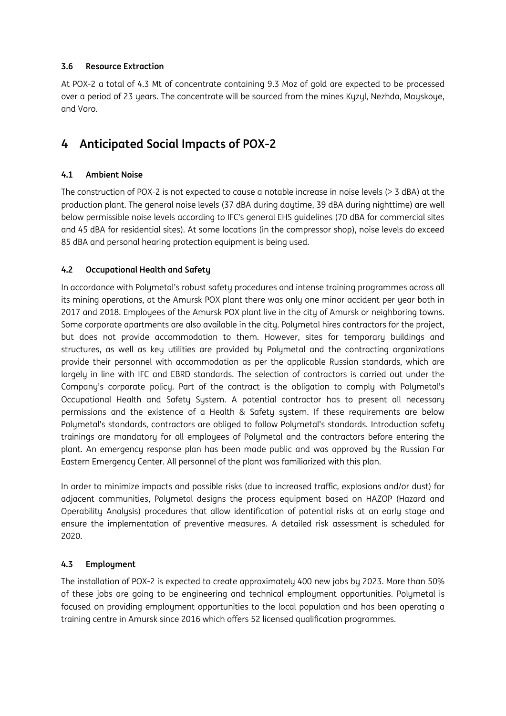# **3.6 Resource Extraction**

At POX-2 a total of 4.3 Mt of concentrate containing 9.3 Moz of gold are expected to be processed over a period of 23 years. The concentrate will be sourced from the mines Kyzyl, Nezhda, Mayskoye, and Voro.

# **4 Anticipated Social Impacts of POX-2**

### **4.1 Ambient Noise**

The construction of POX-2 is not expected to cause a notable increase in noise levels (> 3 dBA) at the production plant. The general noise levels (37 dBA during daytime, 39 dBA during nighttime) are well below permissible noise levels according to IFC's general EHS guidelines (70 dBA for commercial sites and 45 dBA for residential sites). At some locations (in the compressor shop), noise levels do exceed 85 dBA and personal hearing protection equipment is being used.

### **4.2 Occupational Health and Safety**

In accordance with Polymetal's robust safety procedures and intense training programmes across all its mining operations, at the Amursk POX plant there was only one minor accident per year both in 2017 and 2018. Emplouees of the Amursk POX plant live in the city of Amursk or neighboring towns. Some corporate apartments are also available in the city. Polymetal hires contractors for the project, but does not provide accommodation to them. However, sites for temporary buildings and structures, as well as key utilities are provided by Polymetal and the contracting organizations provide their personnel with accommodation as per the applicable Russian standards, which are largely in line with IFC and EBRD standards. The selection of contractors is carried out under the Company's corporate policy. Part of the contract is the obligation to comply with Polymetal's Occupational Health and Safety System. A potential contractor has to present all necessary permissions and the existence of a Health & Safety system. If these requirements are below Polymetal's standards, contractors are obliged to follow Polymetal's standards. Introduction safety trainings are mandatory for all employees of Polymetal and the contractors before entering the plant. An emergency response plan has been made public and was approved by the Russian Far Eastern Emergency Center. All personnel of the plant was familiarized with this plan.

In order to minimize impacts and possible risks (due to increased traffic, explosions and/or dust) for adjacent communities, Polymetal designs the process equipment based on HAZOP (Hazard and Operability Analysis) procedures that allow identification of potential risks at an early stage and ensure the implementation of preventive measures. A detailed risk assessment is scheduled for 2020.

# **4.3 Employment**

The installation of POX-2 is expected to create approximately 400 new jobs by 2023. More than 50% of these jobs are going to be engineering and technical employment opportunities. Polymetal is focused on providing employment opportunities to the local population and has been operating a training centre in Amursk since 2016 which offers 52 licensed qualification programmes.